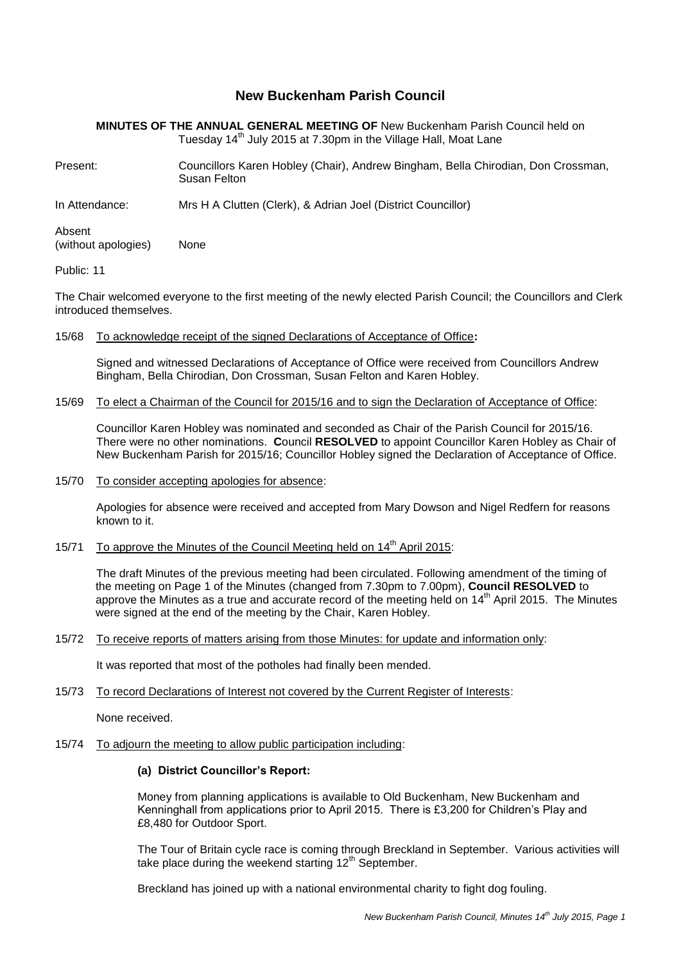# **New Buckenham Parish Council**

**MINUTES OF THE ANNUAL GENERAL MEETING OF** New Buckenham Parish Council held on Tuesday 14<sup>th</sup> July 2015 at 7.30pm in the Village Hall, Moat Lane

Present: Councillors Karen Hobley (Chair), Andrew Bingham, Bella Chirodian, Don Crossman, Susan Felton

In Attendance: Mrs H A Clutten (Clerk), & Adrian Joel (District Councillor)

Absent (without apologies) None

# Public: 11

The Chair welcomed everyone to the first meeting of the newly elected Parish Council; the Councillors and Clerk introduced themselves.

### 15/68 To acknowledge receipt of the signed Declarations of Acceptance of Office**:**

Signed and witnessed Declarations of Acceptance of Office were received from Councillors Andrew Bingham, Bella Chirodian, Don Crossman, Susan Felton and Karen Hobley.

# 15/69 To elect a Chairman of the Council for 2015/16 and to sign the Declaration of Acceptance of Office:

Councillor Karen Hobley was nominated and seconded as Chair of the Parish Council for 2015/16. There were no other nominations. **C**ouncil **RESOLVED** to appoint Councillor Karen Hobley as Chair of New Buckenham Parish for 2015/16; Councillor Hobley signed the Declaration of Acceptance of Office.

15/70 To consider accepting apologies for absence:

Apologies for absence were received and accepted from Mary Dowson and Nigel Redfern for reasons known to it.

# 15/71 To approve the Minutes of the Council Meeting held on 14<sup>th</sup> April 2015:

The draft Minutes of the previous meeting had been circulated. Following amendment of the timing of the meeting on Page 1 of the Minutes (changed from 7.30pm to 7.00pm), **Council RESOLVED** to approve the Minutes as a true and accurate record of the meeting held on  $14<sup>th</sup>$  April 2015. The Minutes were signed at the end of the meeting by the Chair. Karen Hobley.

15/72 To receive reports of matters arising from those Minutes: for update and information only:

It was reported that most of the potholes had finally been mended.

15/73 To record Declarations of Interest not covered by the Current Register of Interests:

None received.

15/74 To adjourn the meeting to allow public participation including:

# **(a) District Councillor's Report:**

Money from planning applications is available to Old Buckenham, New Buckenham and Kenninghall from applications prior to April 2015. There is £3,200 for Children's Play and £8,480 for Outdoor Sport.

The Tour of Britain cycle race is coming through Breckland in September. Various activities will take place during the weekend starting  $12<sup>th</sup>$  September.

Breckland has joined up with a national environmental charity to fight dog fouling.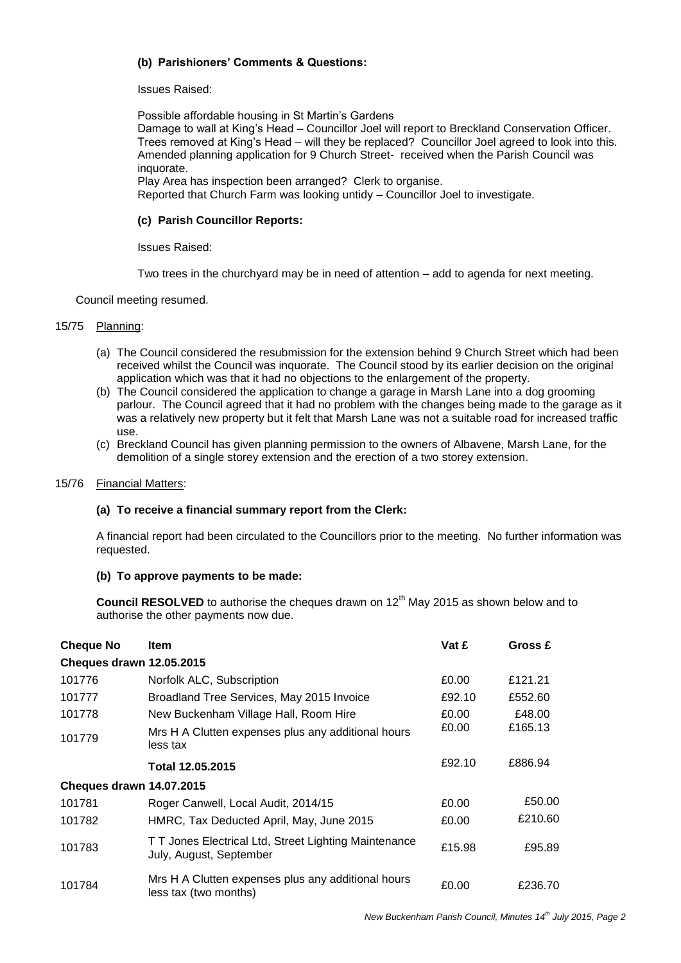# **(b) Parishioners' Comments & Questions:**

Issues Raised:

Possible affordable housing in St Martin's Gardens Damage to wall at King's Head – Councillor Joel will report to Breckland Conservation Officer. Trees removed at King's Head – will they be replaced? Councillor Joel agreed to look into this. Amended planning application for 9 Church Street- received when the Parish Council was inquorate. Play Area has inspection been arranged? Clerk to organise.

Reported that Church Farm was looking untidy – Councillor Joel to investigate.

## **(c) Parish Councillor Reports:**

Issues Raised:

Two trees in the churchyard may be in need of attention – add to agenda for next meeting.

Council meeting resumed.

# 15/75 Planning:

- (a) The Council considered the resubmission for the extension behind 9 Church Street which had been received whilst the Council was inquorate. The Council stood by its earlier decision on the original application which was that it had no objections to the enlargement of the property.
- (b) The Council considered the application to change a garage in Marsh Lane into a dog grooming parlour. The Council agreed that it had no problem with the changes being made to the garage as it was a relatively new property but it felt that Marsh Lane was not a suitable road for increased traffic use.
- (c) Breckland Council has given planning permission to the owners of Albavene, Marsh Lane, for the demolition of a single storey extension and the erection of a two storey extension.

### 15/76 Financial Matters:

## **(a) To receive a financial summary report from the Clerk:**

A financial report had been circulated to the Councillors prior to the meeting. No further information was requested.

## **(b) To approve payments to be made:**

**Council RESOLVED** to authorise the cheques drawn on 12<sup>th</sup> May 2015 as shown below and to authorise the other payments now due.

| <b>Cheque No</b>                | Item                                                                             | Vat £  | Gross £ |
|---------------------------------|----------------------------------------------------------------------------------|--------|---------|
| <b>Cheques drawn 12.05.2015</b> |                                                                                  |        |         |
| 101776                          | Norfolk ALC, Subscription                                                        | £0.00  | £121.21 |
| 101777                          | Broadland Tree Services, May 2015 Invoice                                        | £92.10 | £552.60 |
| 101778                          | New Buckenham Village Hall, Room Hire                                            | £0.00  | £48.00  |
| 101779                          | Mrs H A Clutten expenses plus any additional hours<br>less tax                   | £0.00  | £165.13 |
|                                 | Total 12.05.2015                                                                 | £92.10 | £886.94 |
| <b>Cheques drawn 14.07.2015</b> |                                                                                  |        |         |
| 101781                          | Roger Canwell, Local Audit, 2014/15                                              | £0.00  | £50.00  |
| 101782                          | HMRC, Tax Deducted April, May, June 2015                                         | £0.00  | £210.60 |
| 101783                          | T T Jones Electrical Ltd, Street Lighting Maintenance<br>July, August, September | £15.98 | £95.89  |
| 101784                          | Mrs H A Clutten expenses plus any additional hours<br>less tax (two months)      | £0.00  | £236.70 |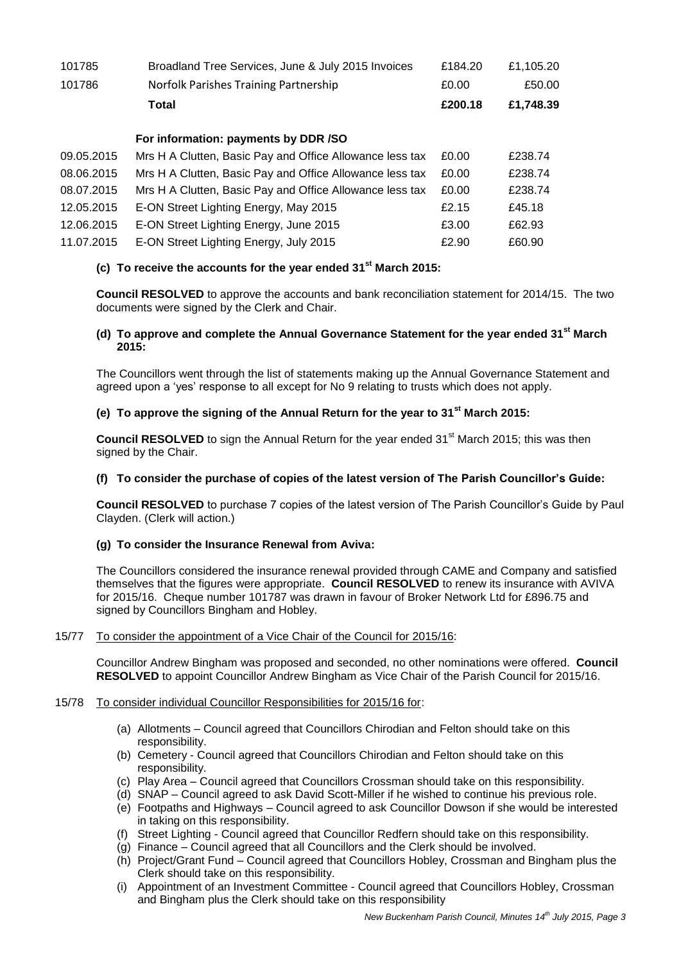| 101785     | Broadland Tree Services, June & July 2015 Invoices       | £184.20 | £1,105.20 |
|------------|----------------------------------------------------------|---------|-----------|
| 101786     | Norfolk Parishes Training Partnership                    | £0.00   | £50.00    |
|            | Total                                                    | £200.18 | £1,748.39 |
|            | For information: payments by DDR /SO                     |         |           |
| 09.05.2015 | Mrs H A Clutten, Basic Pay and Office Allowance less tax | £0.00   | £238.74   |
| 08.06.2015 | Mrs H A Clutten, Basic Pay and Office Allowance less tax | £0.00   | £238.74   |
| 08.07.2015 | Mrs H A Clutten, Basic Pay and Office Allowance less tax | £0.00   | £238.74   |
| 12.05.2015 | E-ON Street Lighting Energy, May 2015                    | £2.15   | £45.18    |
| 12.06.2015 | E-ON Street Lighting Energy, June 2015                   | £3.00   | £62.93    |
| 11.07.2015 | E-ON Street Lighting Energy, July 2015                   | £2.90   | £60.90    |

# **(c) To receive the accounts for the year ended 31st March 2015:**

**Council RESOLVED** to approve the accounts and bank reconciliation statement for 2014/15. The two documents were signed by the Clerk and Chair.

## **(d) To approve and complete the Annual Governance Statement for the year ended 31st March 2015:**

The Councillors went through the list of statements making up the Annual Governance Statement and agreed upon a 'yes' response to all except for No 9 relating to trusts which does not apply.

# **(e) To approve the signing of the Annual Return for the year to 31st March 2015:**

**Council RESOLVED** to sign the Annual Return for the year ended 31<sup>st</sup> March 2015; this was then signed by the Chair.

# **(f) To consider the purchase of copies of the latest version of The Parish Councillor's Guide:**

**Council RESOLVED** to purchase 7 copies of the latest version of The Parish Councillor's Guide by Paul Clayden. (Clerk will action.)

## **(g) To consider the Insurance Renewal from Aviva:**

The Councillors considered the insurance renewal provided through CAME and Company and satisfied themselves that the figures were appropriate. **Council RESOLVED** to renew its insurance with AVIVA for 2015/16. Cheque number 101787 was drawn in favour of Broker Network Ltd for £896.75 and signed by Councillors Bingham and Hobley.

# 15/77 To consider the appointment of a Vice Chair of the Council for 2015/16:

Councillor Andrew Bingham was proposed and seconded, no other nominations were offered. **Council RESOLVED** to appoint Councillor Andrew Bingham as Vice Chair of the Parish Council for 2015/16.

## 15/78 To consider individual Councillor Responsibilities for 2015/16 for:

- (a) Allotments Council agreed that Councillors Chirodian and Felton should take on this responsibility.
- (b) Cemetery Council agreed that Councillors Chirodian and Felton should take on this responsibility.
- (c) Play Area Council agreed that Councillors Crossman should take on this responsibility.
- (d) SNAP Council agreed to ask David Scott-Miller if he wished to continue his previous role.
- (e) Footpaths and Highways Council agreed to ask Councillor Dowson if she would be interested in taking on this responsibility.
- (f) Street Lighting Council agreed that Councillor Redfern should take on this responsibility.
- (g) Finance Council agreed that all Councillors and the Clerk should be involved.
- (h) Project/Grant Fund Council agreed that Councillors Hobley, Crossman and Bingham plus the Clerk should take on this responsibility.
- (i) Appointment of an Investment Committee Council agreed that Councillors Hobley, Crossman and Bingham plus the Clerk should take on this responsibility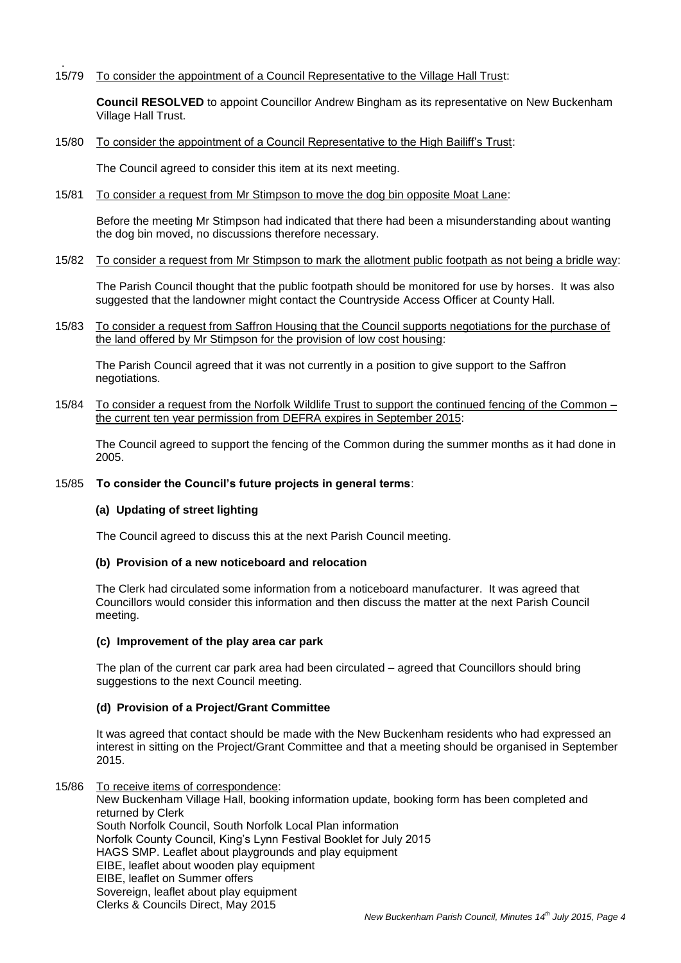. 15/79 To consider the appointment of a Council Representative to the Village Hall Trust:

**Council RESOLVED** to appoint Councillor Andrew Bingham as its representative on New Buckenham Village Hall Trust.

15/80 To consider the appointment of a Council Representative to the High Bailiff's Trust:

The Council agreed to consider this item at its next meeting.

15/81 To consider a request from Mr Stimpson to move the dog bin opposite Moat Lane:

Before the meeting Mr Stimpson had indicated that there had been a misunderstanding about wanting the dog bin moved, no discussions therefore necessary.

15/82 To consider a request from Mr Stimpson to mark the allotment public footpath as not being a bridle way:

The Parish Council thought that the public footpath should be monitored for use by horses. It was also suggested that the landowner might contact the Countryside Access Officer at County Hall.

15/83 To consider a request from Saffron Housing that the Council supports negotiations for the purchase of the land offered by Mr Stimpson for the provision of low cost housing:

The Parish Council agreed that it was not currently in a position to give support to the Saffron negotiations.

15/84 To consider a request from the Norfolk Wildlife Trust to support the continued fencing of the Common – the current ten year permission from DEFRA expires in September 2015:

The Council agreed to support the fencing of the Common during the summer months as it had done in 2005.

### 15/85 **To consider the Council's future projects in general terms**:

### **(a) Updating of street lighting**

The Council agreed to discuss this at the next Parish Council meeting.

### **(b) Provision of a new noticeboard and relocation**

The Clerk had circulated some information from a noticeboard manufacturer. It was agreed that Councillors would consider this information and then discuss the matter at the next Parish Council meeting.

### **(c) Improvement of the play area car park**

The plan of the current car park area had been circulated – agreed that Councillors should bring suggestions to the next Council meeting.

### **(d) Provision of a Project/Grant Committee**

It was agreed that contact should be made with the New Buckenham residents who had expressed an interest in sitting on the Project/Grant Committee and that a meeting should be organised in September 2015.

15/86 To receive items of correspondence:

Clerks & Councils Direct, May 2015

New Buckenham Village Hall, booking information update, booking form has been completed and returned by Clerk South Norfolk Council, South Norfolk Local Plan information Norfolk County Council, King's Lynn Festival Booklet for July 2015 HAGS SMP. Leaflet about playgrounds and play equipment EIBE, leaflet about wooden play equipment EIBE, leaflet on Summer offers Sovereign, leaflet about play equipment

*New Buckenham Parish Council, Minutes 14 th July 2015, Page 4*